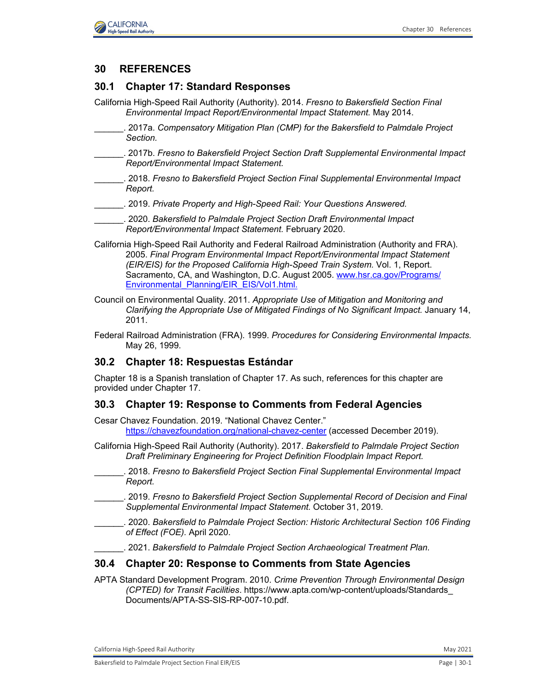



# **30 REFERENCES**

## **30.1 Chapter 17: Standard Responses**

- California High-Speed Rail Authority (Authority). 2014. *Fresno to Bakersfield Section Final Environmental Impact Report/Environmental Impact Statement.* May 2014.
- \_\_\_\_\_\_. 2017a. *Compensatory Mitigation Plan (CMP) for the Bakersfield to Palmdale Project Section.*
- \_\_\_\_\_\_. 2017b. *Fresno to Bakersfield Project Section Draft Supplemental Environmental Impact Report/Environmental Impact Statement.*
- \_\_\_\_\_\_. 2018. *Fresno to Bakersfield Project Section Final Supplemental Environmental Impact Report.*
- \_\_\_\_\_\_. 2019. *Private Property and High-Speed Rail: Your Questions Answered.*
- \_\_\_\_\_\_. 2020. *Bakersfield to Palmdale Project Section Draft Environmental Impact Report/Environmental Impact Statement.* February 2020.
- California High-Speed Rail Authority and Federal Railroad Administration (Authority and FRA). 2005. *Final Program Environmental Impact Report/Environmental Impact Statement (EIR/EIS) for the Proposed California High-Speed Train System.* Vol. 1, Report. Sacramento, CA, and Washington, D.C. August 2005. [www.hsr.ca.gov/Programs/](http://www.hsr.ca.gov/Programs/Environmental_Planning/%E2%80%8CEIR_EIS/Vol1.html) [Environmental\\_Planning/EIR\\_EIS/Vol1.html.](http://www.hsr.ca.gov/Programs/Environmental_Planning/%E2%80%8CEIR_EIS/Vol1.html)
- Council on Environmental Quality. 2011. *Appropriate Use of Mitigation and Monitoring and Clarifying the Appropriate Use of Mitigated Findings of No Significant Impact.* January 14, 2011.
- Federal Railroad Administration (FRA). 1999. *Procedures for Considering Environmental Impacts.*  May 26, 1999.

### **30.2 Chapter 18: Respuestas Estándar**

Chapter 18 is a Spanish translation of Chapter 17. As such, references for this chapter are provided under Chapter 17.

### **30.3 Chapter 19: Response to Comments from Federal Agencies**

Cesar Chavez Foundation. 2019. "National Chavez Center." <https://chavezfoundation.org/national-chavez-center> (accessed December 2019).

- California High-Speed Rail Authority (Authority). 2017. *Bakersfield to Palmdale Project Section Draft Preliminary Engineering for Project Definition Floodplain Impact Report.*
- \_\_\_\_\_\_. 2018. *Fresno to Bakersfield Project Section Final Supplemental Environmental Impact Report.*
- \_\_\_\_\_\_. 2019. *Fresno to Bakersfield Project Section Supplemental Record of Decision and Final Supplemental Environmental Impact Statement.* October 31, 2019.
- \_\_\_\_\_\_. 2020. *Bakersfield to Palmdale Project Section: Historic Architectural Section 106 Finding of Effect (FOE).* April 2020.
	- \_\_\_\_\_\_. 2021. *Bakersfield to Palmdale Project Section Archaeological Treatment Plan.*

### **30.4 Chapter 20: Response to Comments from State Agencies**

APTA Standard Development Program. 2010. *Crime Prevention Through Environmental Design (CPTED) for Transit Facilities*. [https://www.apta.com/wp-content/uploads/Standards\\_](https://www.apta.com/wp-content/uploads/Standards_Documents/APTA-SS-SIS-RP-007-10.pdf) [Documents/APTA-SS-SIS-RP-007-10.pdf.](https://www.apta.com/wp-content/uploads/Standards_Documents/APTA-SS-SIS-RP-007-10.pdf) 

California High-Speed Rail Authority May 2021 and September 2012 and September 2021 and September 2021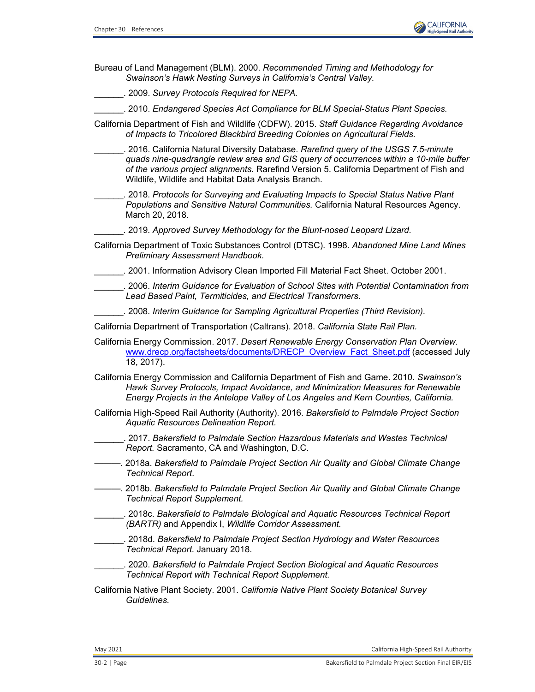

- Bureau of Land Management (BLM). 2000. *Recommended Timing and Methodology for Swainson's Hawk Nesting Surveys in California's Central Valley.*
- \_\_\_\_\_\_. 2009. *Survey Protocols Required for NEPA.*
	- \_\_\_\_\_\_. 2010. *Endangered Species Act Compliance for BLM Special-Status Plant Species.*
- California Department of Fish and Wildlife (CDFW). 2015. *Staff Guidance Regarding Avoidance of Impacts to Tricolored Blackbird Breeding Colonies on Agricultural Fields.*
	- \_\_\_\_\_\_. 2016. California Natural Diversity Database. *Rarefind query of the USGS 7.5-minute quads nine-quadrangle review area and GIS query of occurrences within a 10-mile buffer of the various project alignments.* Rarefind Version 5. California Department of Fish and Wildlife, Wildlife and Habitat Data Analysis Branch.
- \_\_\_\_\_\_. 2018. *Protocols for Surveying and Evaluating Impacts to Special Status Native Plant Populations and Sensitive Natural Communities.* California Natural Resources Agency. March 20, 2018.
	- \_\_\_\_\_\_. 2019. *Approved Survey Methodology for the Blunt-nosed Leopard Lizard.*
- California Department of Toxic Substances Control (DTSC). 1998. *Abandoned Mine Land Mines Preliminary Assessment Handbook.*
	- \_\_\_\_\_\_. 2001. Information Advisory Clean Imported Fill Material Fact Sheet. October 2001.
- \_\_\_\_\_\_. 2006. *Interim Guidance for Evaluation of School Sites with Potential Contamination from Lead Based Paint, Termiticides, and Electrical Transformers.*
	- \_\_\_\_\_\_. 2008. *Interim Guidance for Sampling Agricultural Properties (Third Revision).*
- California Department of Transportation (Caltrans). 2018. *California State Rail Plan.*
- California Energy Commission. 2017. *Desert Renewable Energy Conservation Plan Overview.*  [www.drecp.org/factsheets/documents/DRECP\\_Overview\\_Fact\\_Sheet.pdf](http://www.drecp.org/factsheets/documents/DRECP_Overview_Fact_Sheet.pdf) (accessed July 18, 2017).
- California Energy Commission and California Department of Fish and Game. 2010. *Swainson's Hawk Survey Protocols, Impact Avoidance, and Minimization Measures for Renewable Energy Projects in the Antelope Valley of Los Angeles and Kern Counties, California.*
- California High-Speed Rail Authority (Authority). 2016. *Bakersfield to Palmdale Project Section Aquatic Resources Delineation Report.*
- \_\_\_\_\_\_. 2017. *Bakersfield to Palmdale Section Hazardous Materials and Wastes Technical Report.* Sacramento, CA and Washington, D.C.
- ———. 2018a. *Bakersfield to Palmdale Project Section Air Quality and Global Climate Change Technical Report*.
- ———. 2018b. *Bakersfield to Palmdale Project Section Air Quality and Global Climate Change Technical Report Supplement.*
- \_\_\_\_\_\_. 2018c. *Bakersfield to Palmdale Biological and Aquatic Resources Technical Report (BARTR)* and Appendix I, *Wildlife Corridor Assessment.*
- \_\_\_\_\_\_. 2018d. *Bakersfield to Palmdale Project Section Hydrology and Water Resources Technical Report.* January 2018.
- \_\_\_\_\_\_. 2020. *Bakersfield to Palmdale Project Section Biological and Aquatic Resources Technical Report with Technical Report Supplement.*
- California Native Plant Society. 2001. *California Native Plant Society Botanical Survey Guidelines.*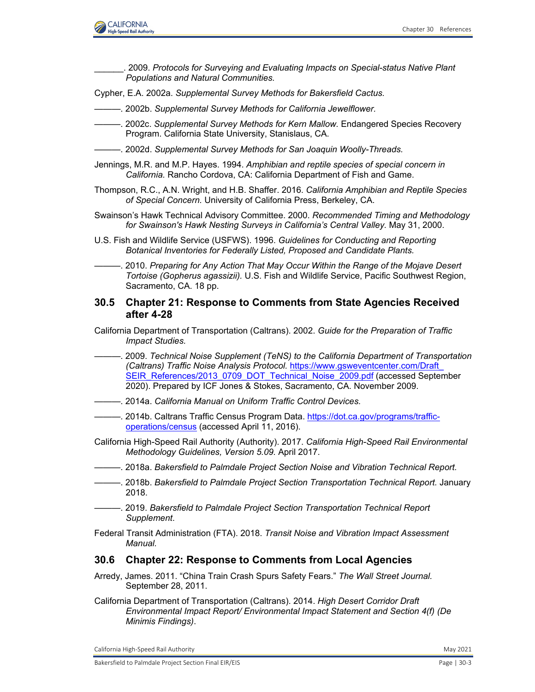

| . 2009. Protocols for Surveying and Evaluating Impacts on Special-status Native Plant<br>Populations and Natural Communities.                                                                                                                                                                                                                     |
|---------------------------------------------------------------------------------------------------------------------------------------------------------------------------------------------------------------------------------------------------------------------------------------------------------------------------------------------------|
| Cypher, E.A. 2002a. Supplemental Survey Methods for Bakersfield Cactus.                                                                                                                                                                                                                                                                           |
| - 2002b. Supplemental Survey Methods for California Jewelflower.                                                                                                                                                                                                                                                                                  |
| Program. California State University, Stanislaus, CA.                                                                                                                                                                                                                                                                                             |
|                                                                                                                                                                                                                                                                                                                                                   |
| Jennings, M.R. and M.P. Hayes. 1994. Amphibian and reptile species of special concern in<br>California. Rancho Cordova, CA: California Department of Fish and Game.                                                                                                                                                                               |
| Thompson, R.C., A.N. Wright, and H.B. Shaffer. 2016. California Amphibian and Reptile Species<br>of Special Concern. University of California Press, Berkeley, CA.                                                                                                                                                                                |
| Swainson's Hawk Technical Advisory Committee. 2000. Recommended Timing and Methodology<br>for Swainson's Hawk Nesting Surveys in California's Central Valley. May 31, 2000.                                                                                                                                                                       |
| U.S. Fish and Wildlife Service (USFWS). 1996. Guidelines for Conducting and Reporting<br>Botanical Inventories for Federally Listed, Proposed and Candidate Plants.                                                                                                                                                                               |
| Tortoise (Gopherus agassizii). U.S. Fish and Wildlife Service, Pacific Southwest Region,<br>Sacramento, CA. 18 pp.                                                                                                                                                                                                                                |
| <b>Chapter 21: Response to Comments from State Agencies Received</b><br>30.5<br>after 4-28                                                                                                                                                                                                                                                        |
| California Department of Transportation (Caltrans). 2002. Guide for the Preparation of Traffic<br><b>Impact Studies.</b>                                                                                                                                                                                                                          |
|                                                                                                                                                                                                                                                                                                                                                   |
| --------------- 2009. Technical Noise Supplement (TeNS) to the California Department of Transportation<br>(Caltrans) Traffic Noise Analysis Protocol. https://www.gsweventcenter.com/Draft<br>SEIR References/2013 0709 DOT Technical Noise 2009.pdf (accessed September<br>2020). Prepared by ICF Jones & Stokes, Sacramento, CA. November 2009. |
| - 2014a. California Manual on Uniform Traffic Control Devices.                                                                                                                                                                                                                                                                                    |
| - 2014b. Caltrans Traffic Census Program Data. https://dot.ca.gov/programs/traffic-<br>operations/census (accessed April 11, 2016).                                                                                                                                                                                                               |
| California High-Speed Rail Authority (Authority). 2017. California High-Speed Rail Environmental<br>Methodology Guidelines, Version 5.09. April 2017.                                                                                                                                                                                             |
| ---------. 2018a. Bakersfield to Palmdale Project Section Noise and Vibration Technical Report.                                                                                                                                                                                                                                                   |
| ——. 2018b. <i>Bakersfield to Palmdale Project Section Transportation Technical Report.</i> January<br>2018.                                                                                                                                                                                                                                       |
| Supplement.                                                                                                                                                                                                                                                                                                                                       |
| Federal Transit Administration (FTA). 2018. Transit Noise and Vibration Impact Assessment<br>Manual.                                                                                                                                                                                                                                              |
| <b>Chapter 22: Response to Comments from Local Agencies</b><br>30.6                                                                                                                                                                                                                                                                               |
| Arredy, James. 2011. "China Train Crash Spurs Safety Fears." The Wall Street Journal.<br>September 28, 2011.                                                                                                                                                                                                                                      |

California High-Speed Rail Authority **May 2021**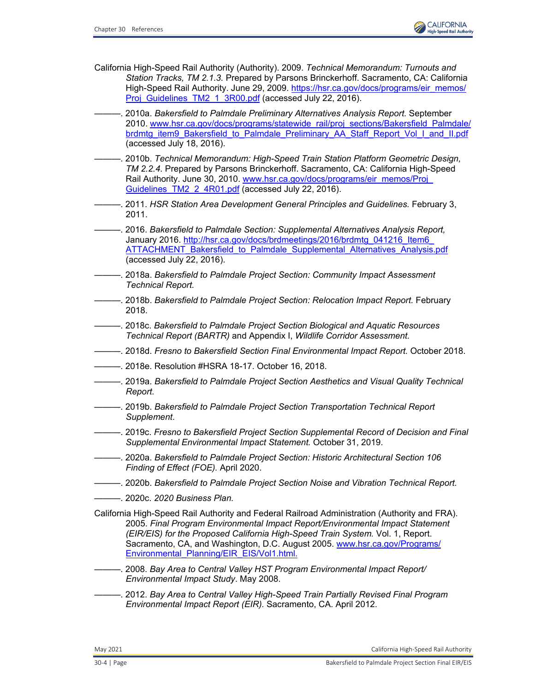

- California High-Speed Rail Authority (Authority). 2009. *Technical Memorandum: Turnouts and Station Tracks, TM 2.1.3.* Prepared by Parsons Brinckerhoff. Sacramento, CA: California High-Speed Rail Authority. June 29, 2009. [https://hsr.ca.gov/docs/programs/eir\\_memos/](https://hsr.ca.gov/docs/programs/eir_memos/Proj_Guidelines_TM2_1_3R00.pdf) [Proj\\_Guidelines\\_TM2\\_1\\_3R00.pdf](https://hsr.ca.gov/docs/programs/eir_memos/Proj_Guidelines_TM2_1_3R00.pdf) (accessed July 22, 2016).
- ———. 2010a. *Bakersfield to Palmdale Preliminary Alternatives Analysis Report.* September 2010. [www.hsr.ca.gov/docs/programs/statewide\\_rail/proj\\_sections/Bakersfield\\_Palmdale/](http://www.hsr.ca.gov/docs/programs/statewide_rail/proj_sections/Bakersfield_Palmdale/brdmtg_item9_Bakersfield_to_Palmdale_Preliminary_AA_Staff_Report_Vol_I_and_II.pdf) [brdmtg\\_item9\\_Bakersfield\\_to\\_Palmdale\\_Preliminary\\_AA\\_Staff\\_Report\\_Vol\\_I\\_and\\_II.pdf](http://www.hsr.ca.gov/docs/programs/statewide_rail/proj_sections/Bakersfield_Palmdale/brdmtg_item9_Bakersfield_to_Palmdale_Preliminary_AA_Staff_Report_Vol_I_and_II.pdf) (accessed July 18, 2016).
- ———. 2010b. *Technical Memorandum: High-Speed Train Station Platform Geometric Design, TM 2.2.4.* Prepared by Parsons Brinckerhoff. Sacramento, CA: California High-Speed Rail Authority. June 30, 2010. [www.hsr.ca.gov/docs/programs/eir\\_memos/Proj\\_](http://www.hsr.ca.gov/docs/programs/eir_memos/Proj_Guidelines_TM2_2_4R01.pdf) Guidelines TM2 2 4R01.pdf (accessed July 22, 2016).
- ———. 2011. *HSR Station Area Development General Principles and Guidelines.* February 3, 2011.
- ———. 2016. *Bakersfield to Palmdale Section: Supplemental Alternatives Analysis Report,*  January 2016. [http://hsr.ca.gov/docs/brdmeetings/2016/brdmtg\\_041216\\_Item6\\_](http://hsr.ca.gov/docs/brdmeetings/2016/brdmtg_041216_Item6_ATTACHMENT_Bakersfield_to_Palmdale_Supplemental_Alternatives_Analysis.pdf) [ATTACHMENT\\_Bakersfield\\_to\\_Palmdale\\_Supplemental\\_Alternatives\\_Analysis.pdf](http://hsr.ca.gov/docs/brdmeetings/2016/brdmtg_041216_Item6_ATTACHMENT_Bakersfield_to_Palmdale_Supplemental_Alternatives_Analysis.pdf) (accessed July 22, 2016).
- ———. 2018a. *Bakersfield to Palmdale Project Section: Community Impact Assessment Technical Report.*
- ———. 2018b. *Bakersfield to Palmdale Project Section: Relocation Impact Report.* February 2018.
- ———. 2018c. *Bakersfield to Palmdale Project Section Biological and Aquatic Resources Technical Report (BARTR)* and Appendix I, *Wildlife Corridor Assessment.*
- ———. 2018d. *Fresno to Bakersfield Section Final Environmental Impact Report.* October 2018.
- ———. 2018e. Resolution #HSRA 18-17. October 16, 2018.
- ———. 2019a. *Bakersfield to Palmdale Project Section Aesthetics and Visual Quality Technical Report.*
- ———. 2019b. *Bakersfield to Palmdale Project Section Transportation Technical Report Supplement*.
- ———. 2019c. *Fresno to Bakersfield Project Section Supplemental Record of Decision and Final Supplemental Environmental Impact Statement.* October 31, 2019.
- ———. 2020a. *Bakersfield to Palmdale Project Section: Historic Architectural Section 106 Finding of Effect (FOE).* April 2020.
- ———. 2020b. *Bakersfield to Palmdale Project Section Noise and Vibration Technical Report.*
- ———. 2020c. *2020 Business Plan.*

California High-Speed Rail Authority and Federal Railroad Administration (Authority and FRA). 2005. *Final Program Environmental Impact Report/Environmental Impact Statement (EIR/EIS) for the Proposed California High-Speed Train System.* Vol. 1, Report. Sacramento, CA, and Washington, D.C. August 2005. [www.hsr.ca.gov/Programs/](http://www.hsr.ca.gov/Programs/Environmental_Planning/EIR_EIS/Vol1.html) [Environmental\\_Planning/EIR\\_EIS/Vol1.html.](http://www.hsr.ca.gov/Programs/Environmental_Planning/EIR_EIS/Vol1.html)

- ———. 2008. *Bay Area to Central Valley HST Program Environmental Impact Report/ Environmental Impact Study*. May 2008.
- ———. 2012. *Bay Area to Central Valley High-Speed Train Partially Revised Final Program Environmental Impact Report (EIR).* Sacramento, CA. April 2012.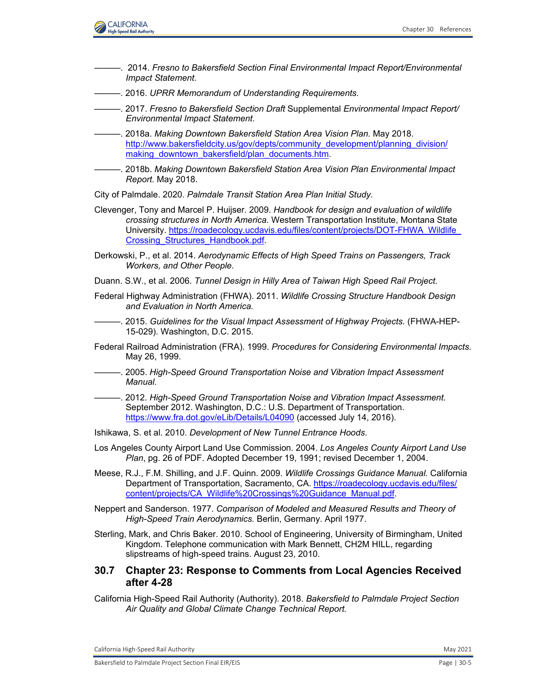

- ———. 2014. *Fresno to Bakersfield Section Final Environmental Impact Report/Environmental Impact Statement*.
- ———. 2016. *UPRR Memorandum of Understanding Requirements.*
- ———. 2017. *Fresno to Bakersfield Section Draft* Supplemental *Environmental Impact Report/ Environmental Impact Statement*.
- ———. 2018a. *Making Downtown Bakersfield Station Area Vision Plan.* May 2018. [http://www.bakersfieldcity.us/gov/depts/community\\_development/planning\\_division/](http://www.bakersfieldcity.us/gov/depts/community_development/planning_division/making_downtown_bakersfield/plan_documents.htm) [making\\_downtown\\_bakersfield/plan\\_documents.htm.](http://www.bakersfieldcity.us/gov/depts/community_development/planning_division/making_downtown_bakersfield/plan_documents.htm)
- ———. 2018b. *Making Downtown Bakersfield Station Area Vision Plan Environmental Impact Report.* May 2018.
- City of Palmdale. 2020. *Palmdale Transit Station Area Plan Initial Study.*
- Clevenger, Tony and Marcel P. Huijser. 2009. *Handbook for design and evaluation of wildlife crossing structures in North America.* Western Transportation Institute, Montana State University. [https://roadecology.ucdavis.edu/files/content/projects/DOT-FHWA\\_Wildlife\\_](https://roadecology.ucdavis.edu/files/content/projects/DOT-FHWA_Wildlife_Crossing_Structures_Handbook.pdf) [Crossing\\_Structures\\_Handbook.pdf.](https://roadecology.ucdavis.edu/files/content/projects/DOT-FHWA_Wildlife_Crossing_Structures_Handbook.pdf)
- Derkowski, P., et al. 2014. *Aerodynamic Effects of High Speed Trains on Passengers, Track Workers, and Other People.*
- Duann. S.W., et al. 2006. *Tunnel Design in Hilly Area of Taiwan High Speed Rail Project.*
- Federal Highway Administration (FHWA). 2011. *Wildlife Crossing Structure Handbook Design and Evaluation in North America.*
- ———. 2015. *Guidelines for the Visual Impact Assessment of Highway Projects.* (FHWA-HEP-15-029). Washington, D.C. 2015.
- Federal Railroad Administration (FRA). 1999. *Procedures for Considering Environmental Impacts.*  May 26, 1999.
- ———. 2005. *High-Speed Ground Transportation Noise and Vibration Impact Assessment Manual.*
- ———. 2012. *High-Speed Ground Transportation Noise and Vibration Impact Assessment*. September 2012. Washington, D.C.: U.S. Department of Transportation. <https://www.fra.dot.gov/eLib/Details/L04090> (accessed July 14, 2016).
- Ishikawa, S. et al. 2010. *Development of New Tunnel Entrance Hoods*.
- Los Angeles County Airport Land Use Commission. 2004. *Los Angeles County Airport Land Use Plan*, pg. 26 of PDF. Adopted December 19, 1991; revised December 1, 2004.
- Meese, R.J., F.M. Shilling, and J.F. Quinn. 2009. *Wildlife Crossings Guidance Manual.* California Department of Transportation, Sacramento, CA. [https://roadecology.ucdavis.edu/files/](https://roadecology.ucdavis.edu/files/content/projects/CA_Wildlife%20Crossings%20Guidance_Manual.pdf) [content/projects/CA\\_Wildlife%20Crossings%20Guidance\\_Manual.pdf.](https://roadecology.ucdavis.edu/files/content/projects/CA_Wildlife%20Crossings%20Guidance_Manual.pdf)
- Neppert and Sanderson. 1977. *Comparison of Modeled and Measured Results and Theory of High-Speed Train Aerodynamics.* Berlin, Germany. April 1977.
- Sterling, Mark, and Chris Baker. 2010. School of Engineering, University of Birmingham, United Kingdom. Telephone communication with Mark Bennett, CH2M HILL, regarding slipstreams of high-speed trains. August 23, 2010.

### **30.7 Chapter 23: Response to Comments from Local Agencies Received after 4-28**

California High-Speed Rail Authority (Authority). 2018. *Bakersfield to Palmdale Project Section Air Quality and Global Climate Change Technical Report.*

California High-Speed Rail Authority May 2021 and September 2012 and September 2021 and September 2021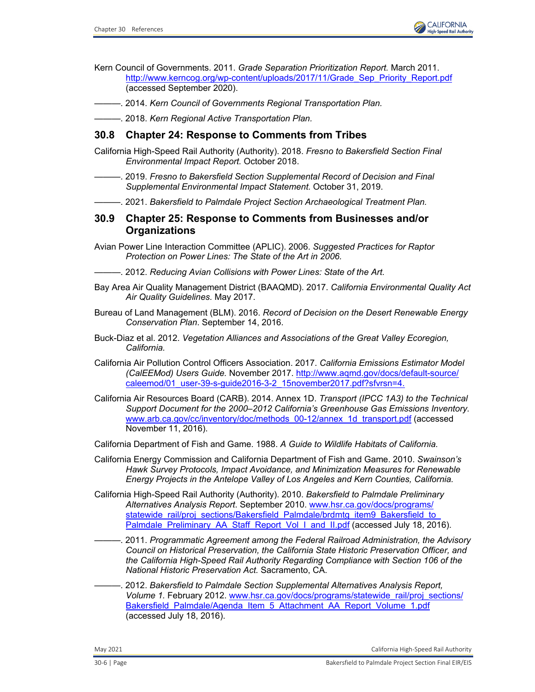

Kern Council of Governments. 2011. *Grade Separation Prioritization Report.* March 2011. [http://www.kerncog.org/wp-content/uploads/2017/11/Grade\\_Sep\\_Priority\\_Report.pdf](http://www.kerncog.org/wp-content/uploads/2017/11/Grade_Sep_Priority_Report.pdf) (accessed September 2020).

- ———. 2014. *Kern Council of Governments Regional Transportation Plan.*
- ———. 2018. *Kern Regional Active Transportation Plan.*

### **30.8 Chapter 24: Response to Comments from Tribes**

- California High-Speed Rail Authority (Authority). 2018. *Fresno to Bakersfield Section Final Environmental Impact Report.* October 2018.
- ———. 2019. *Fresno to Bakersfield Section Supplemental Record of Decision and Final Supplemental Environmental Impact Statement.* October 31, 2019.
- ———. 2021. *Bakersfield to Palmdale Project Section Archaeological Treatment Plan.*

#### **30.9 Chapter 25: Response to Comments from Businesses and/or Organizations**

- Avian Power Line Interaction Committee (APLIC). 2006. *Suggested Practices for Raptor Protection on Power Lines: The State of the Art in 2006.*
- ———. 2012. *Reducing Avian Collisions with Power Lines: State of the Art.*
- Bay Area Air Quality Management District (BAAQMD). 2017. *California Environmental Quality Act Air Quality Guidelines.* May 2017.
- Bureau of Land Management (BLM). 2016. *Record of Decision on the Desert Renewable Energy Conservation Plan*. September 14, 2016.
- Buck-Diaz et al. 2012. *Vegetation Alliances and Associations of the Great Valley Ecoregion, California.*
- California Air Pollution Control Officers Association. 2017. *California Emissions Estimator Model (CalEEMod) Users Guide.* November 2017. [http://www.aqmd.gov/docs/default-source/](http://www.aqmd.gov/docs/default-source/caleemod/01_user-39-s-guide2016-3-2_15november2017.pdf?sfvrsn=4) [caleemod/01\\_user-39-s-guide2016-3-2\\_15november2017.pdf?sfvrsn=4.](http://www.aqmd.gov/docs/default-source/caleemod/01_user-39-s-guide2016-3-2_15november2017.pdf?sfvrsn=4)
- California Air Resources Board (CARB). 2014. Annex 1D. *Transport (IPCC 1A3) to the Technical Support Document for the 2000–2012 California's Greenhouse Gas Emissions Inventory.*  [www.arb.ca.gov/cc/inventory/doc/methods\\_00-12/annex\\_1d\\_transport.pdf](http://www.arb.ca.gov/cc/inventory/doc/methods_00-12/annex_1d_transport.pdf) (accessed November 11, 2016).
- California Department of Fish and Game. 1988. *A Guide to Wildlife Habitats of California.*
- California Energy Commission and California Department of Fish and Game. 2010. *Swainson's Hawk Survey Protocols, Impact Avoidance, and Minimization Measures for Renewable Energy Projects in the Antelope Valley of Los Angeles and Kern Counties, California.*
- California High-Speed Rail Authority (Authority). 2010. *Bakersfield to Palmdale Preliminary Alternatives Analysis Report*. September 2010. [www.hsr.ca.gov/docs/programs/](http://www.hsr.ca.gov/docs/programs/statewide_rail/proj_sections/Bakersfield_Palmdale/brdmtg_item9_Bakersfield_to_Palmdale_Preliminary_AA_Staff_Report_Vol_I_and_II.pdf) statewide\_rail/proj\_sections/Bakersfield\_Palmdale/brdmtg\_item9\_Bakersfield\_to [Palmdale\\_Preliminary\\_AA\\_Staff\\_Report\\_Vol\\_I\\_and\\_II.pdf](http://www.hsr.ca.gov/docs/programs/statewide_rail/proj_sections/Bakersfield_Palmdale/brdmtg_item9_Bakersfield_to_Palmdale_Preliminary_AA_Staff_Report_Vol_I_and_II.pdf) (accessed July 18, 2016).
	- ———. 2011. *Programmatic Agreement among the Federal Railroad Administration, the Advisory Council on Historical Preservation, the California State Historic Preservation Officer, and the California High-Speed Rail Authority Regarding Compliance with Section 106 of the National Historic Preservation Act.* Sacramento, CA.
	- ———. 2012. *Bakersfield to Palmdale Section Supplemental Alternatives Analysis Report, Volume 1.* February 2012. [www.hsr.ca.gov/docs/programs/statewide\\_rail/proj\\_sections/](http://www.hsr.ca.gov/docs/programs/statewide_rail/proj_sections/Bakersfield_Palmdale/Agenda_Item_5_Attachment_AA_Report_Volume_1.pdf) [Bakersfield\\_Palmdale/Agenda\\_Item\\_5\\_Attachment\\_AA\\_Report\\_Volume\\_1.pdf](http://www.hsr.ca.gov/docs/programs/statewide_rail/proj_sections/Bakersfield_Palmdale/Agenda_Item_5_Attachment_AA_Report_Volume_1.pdf) (accessed July 18, 2016).

May 2021 California High-Speed Rail Authority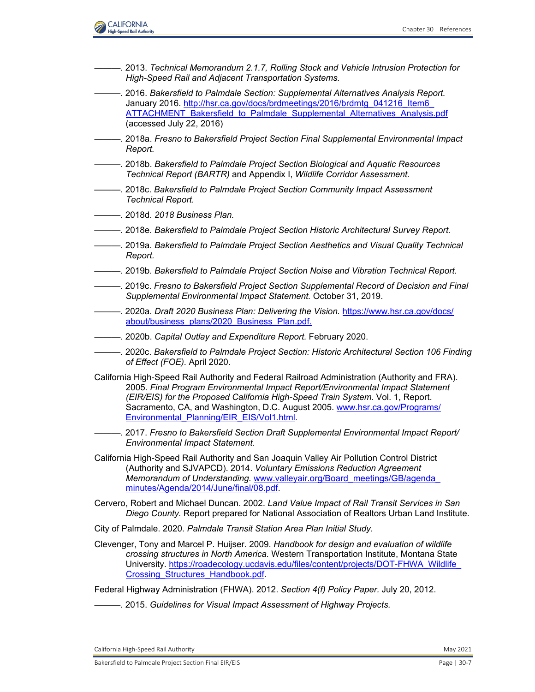

- ———. 2013. *Technical Memorandum 2.1.7, Rolling Stock and Vehicle Intrusion Protection for High-Speed Rail and Adjacent Transportation Systems.*
- ———. 2016. *Bakersfield to Palmdale Section: Supplemental Alternatives Analysis Report.*  January 2016. [http://hsr.ca.gov/docs/brdmeetings/2016/brdmtg\\_041216\\_Item6\\_](http://hsr.ca.gov/docs/brdmeetings/2016/brdmtg_041216_Item6_ATTACHMENT_Bakersfield_to_Palmdale_Supplemental_Alternatives_Analysis.pdf) [ATTACHMENT\\_Bakersfield\\_to\\_Palmdale\\_Supplemental\\_Alternatives\\_Analysis.pdf](http://hsr.ca.gov/docs/brdmeetings/2016/brdmtg_041216_Item6_ATTACHMENT_Bakersfield_to_Palmdale_Supplemental_Alternatives_Analysis.pdf) (accessed July 22, 2016)
- ———. 2018a. *Fresno to Bakersfield Project Section Final Supplemental Environmental Impact Report.*
- ———. 2018b. *Bakersfield to Palmdale Project Section Biological and Aquatic Resources Technical Report (BARTR)* and Appendix I, *Wildlife Corridor Assessment.*
- ———. 2018c. *Bakersfield to Palmdale Project Section Community Impact Assessment Technical Report.*
- ———. 2018d. *2018 Business Plan.*
- ———. 2018e. *Bakersfield to Palmdale Project Section Historic Architectural Survey Report.*
- ———. 2019a. *Bakersfield to Palmdale Project Section Aesthetics and Visual Quality Technical Report.*
- ———. 2019b. *Bakersfield to Palmdale Project Section Noise and Vibration Technical Report.*
- ———. 2019c. *Fresno to Bakersfield Project Section Supplemental Record of Decision and Final Supplemental Environmental Impact Statement.* October 31, 2019.
- ———. 2020a. *Draft 2020 Business Plan: Delivering the Vision.* [https://www.hsr.ca.gov/docs/](https://www.hsr.ca.gov/docs/about/business_plans/2020_Business_Plan.pdf) [about/business\\_plans/2020\\_Business\\_Plan.pdf.](https://www.hsr.ca.gov/docs/about/business_plans/2020_Business_Plan.pdf)
- ———. 2020b. *Capital Outlay and Expenditure Report.* February 2020.
- ———. 2020c. *Bakersfield to Palmdale Project Section: Historic Architectural Section 106 Finding of Effect (FOE).* April 2020.
- California High-Speed Rail Authority and Federal Railroad Administration (Authority and FRA). 2005. *Final Program Environmental Impact Report/Environmental Impact Statement (EIR/EIS) for the Proposed California High-Speed Train System.* Vol. 1, Report. Sacramento, CA, and Washington, D.C. August 2005. [www.hsr.ca.gov/Programs/](http://www.hsr.ca.gov/Programs/Environmental_Planning/EIR_EIS/Vol1.html) [Environmental\\_Planning/EIR\\_EIS/Vol1.html.](http://www.hsr.ca.gov/Programs/Environmental_Planning/EIR_EIS/Vol1.html)
- ———. 2017. *Fresno to Bakersfield Section Draft Supplemental Environmental Impact Report/ Environmental Impact Statement.*
- California High-Speed Rail Authority and San Joaquin Valley Air Pollution Control District (Authority and SJVAPCD). 2014. *Voluntary Emissions Reduction Agreement Memorandum of Understanding.* [www.valleyair.org/Board\\_meetings/GB/agenda\\_](http://www.valleyair.org/Board_meetings/GB/agenda_minutes/Agenda/2014/June/final/08.pdf) [minutes/Agenda/2014/June/final](http://www.valleyair.org/Board_meetings/GB/agenda_minutes/Agenda/2014/June/final/08.pdf)/08.pdf.
- Cervero, Robert and Michael Duncan. 2002. *Land Value Impact of Rail Transit Services in San Diego County.* Report prepared for National Association of Realtors Urban Land Institute.

City of Palmdale. 2020. *Palmdale Transit Station Area Plan Initial Study.*

Clevenger, Tony and Marcel P. Huijser. 2009. *Handbook for design and evaluation of wildlife crossing structures in North America.* Western Transportation Institute, Montana State University. [https://roadecology.ucdavis.edu/files/content/projects/DOT-FHWA\\_Wildlife\\_](https://roadecology.ucdavis.edu/files/content/projects/DOT-FHWA_Wildlife_Crossing_Structures_Handbook.pdf) [Crossing\\_Structures\\_Handbook.pdf.](https://roadecology.ucdavis.edu/files/content/projects/DOT-FHWA_Wildlife_Crossing_Structures_Handbook.pdf)

Federal Highway Administration (FHWA). 2012. *Section 4(f) Policy Paper.* July 20, 2012.

 $-$ . 2015. *Guidelines for Visual Impact Assessment of Highway Projects.* 

California High-Speed Rail Authority **May 2021** 2021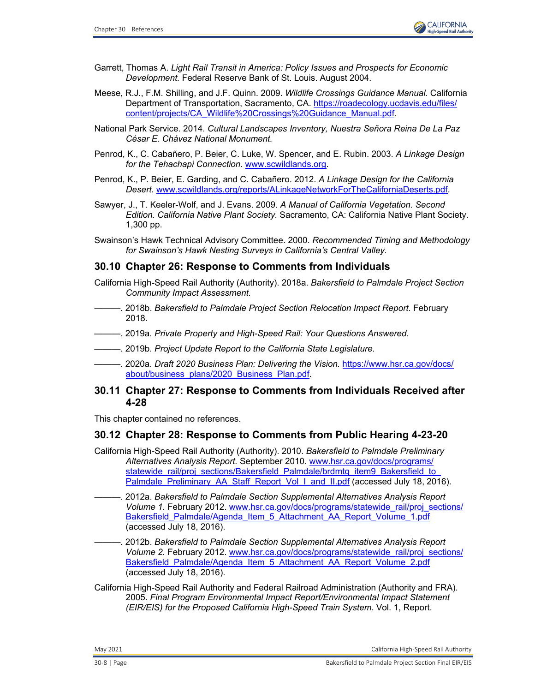

- Garrett, Thomas A. *Light Rail Transit in America: Policy Issues and Prospects for Economic Development.* Federal Reserve Bank of St. Louis. August 2004.
- Meese, R.J., F.M. Shilling, and J.F. Quinn. 2009. *Wildlife Crossings Guidance Manual.* California Department of Transportation, Sacramento, CA. [https://roadecology.ucdavis.edu/files/](https://roadecology.ucdavis.edu/files/content/projects/CA_Wildlife%20Crossings%20Guidance_Manual.pdf) [content/projects/CA\\_Wildlife%20Crossings%20Guidance\\_Manual.pdf.](https://roadecology.ucdavis.edu/files/content/projects/CA_Wildlife%20Crossings%20Guidance_Manual.pdf)
- National Park Service. 2014. *Cultural Landscapes Inventory, Nuestra Señora Reina De La Paz César E. Chávez National Monument.*
- Penrod, K., C. Cabañero, P. Beier, C. Luke, W. Spencer, and E. Rubin. 2003. *A Linkage Design for the Tehachapi Connection.* [www.scwildlands.org.](http://www.scwildlands.org/)
- Penrod, K., P. Beier, E. Garding, and C. Cabañero. 2012. *A Linkage Design for the California Desert.* [www.scwildlands.org/reports/ALinkageNetworkForTheCaliforniaDeserts.pdf.](http://www.scwildlands.org/reports/ALinkageNetworkForTheCaliforniaDeserts.pdf)
- Sawyer, J., T. Keeler-Wolf, and J. Evans. 2009. *A Manual of California Vegetation. Second Edition. California Native Plant Society.* Sacramento, CA: California Native Plant Society. 1,300 pp.
- Swainson's Hawk Technical Advisory Committee. 2000. *Recommended Timing and Methodology for Swainson's Hawk Nesting Surveys in California's Central Valley.*

### **30.10 Chapter 26: Response to Comments from Individuals**

- California High-Speed Rail Authority (Authority). 2018a. *Bakersfield to Palmdale Project Section Community Impact Assessment.*
- ———. 2018b. *Bakersfield to Palmdale Project Section Relocation Impact Report.* February 2018.
- ———. 2019a. *Private Property and High-Speed Rail: Your Questions Answered.*
- ———. 2019b. *Project Update Report to the California State Legislature.*
- ———. 2020a. *Draft 2020 Business Plan: Delivering the Vision.* [https://www.hsr.ca.gov/docs/](https://www.hsr.ca.gov/docs/about/business_plans/2020_Business_Plan.pdf) [about/business\\_plans/2020\\_Business\\_Plan.pdf.](https://www.hsr.ca.gov/docs/about/business_plans/2020_Business_Plan.pdf)

### **30.11 Chapter 27: Response to Comments from Individuals Received after 4-28**

This chapter contained no references.

### **30.12 Chapter 28: Response to Comments from Public Hearing 4-23-20**

- California High-Speed Rail Authority (Authority). 2010. *Bakersfield to Palmdale Preliminary Alternatives Analysis Report.* September 2010. [www.hsr.ca.gov/docs/programs/](http://www.hsr.ca.gov/docs/programs/statewide_rail/proj_sections/Bakersfield_Palmdale/brdmtg_item9_Bakersfield_to_Palmdale_Preliminary_AA_Staff_Report_Vol_I_and_II.pdf) statewide\_rail/proj\_sections/Bakersfield\_Palmdale/brdmtg\_item9\_Bakersfield\_to [Palmdale\\_Preliminary\\_AA\\_Staff\\_Report\\_Vol\\_I\\_and\\_II.pdf](http://www.hsr.ca.gov/docs/programs/statewide_rail/proj_sections/Bakersfield_Palmdale/brdmtg_item9_Bakersfield_to_Palmdale_Preliminary_AA_Staff_Report_Vol_I_and_II.pdf) (accessed July 18, 2016).
- ———. 2012a. *Bakersfield to Palmdale Section Supplemental Alternatives Analysis Report Volume 1.* February 2012. [www.hsr.ca.gov/docs/programs/statewide\\_rail/proj\\_sections/](http://www.hsr.ca.gov/docs/programs/statewide_rail/proj_sections/Bakersfield_Palmdale/Agenda_Item_5_Attachment_AA_Report_Volume_1.pdf) [Bakersfield\\_Palmdale/Agenda\\_Item\\_5\\_Attachment\\_AA\\_Report\\_Volume\\_1.pdf](http://www.hsr.ca.gov/docs/programs/statewide_rail/proj_sections/Bakersfield_Palmdale/Agenda_Item_5_Attachment_AA_Report_Volume_1.pdf) (accessed July 18, 2016).
- ———. 2012b. *Bakersfield to Palmdale Section Supplemental Alternatives Analysis Report Volume 2. February 2012. [www.hsr.ca.gov/docs/programs/statewide\\_rail/proj\\_sections/](http://www.hsr.ca.gov/docs/programs/statewide_rail/proj_sections/Bakersfield_Palmdale/Agenda_Item_5_Attachment_AA_Report_Volume_2.pdf)* [Bakersfield\\_Palmdale/Agenda\\_Item\\_5\\_Attachment\\_AA\\_Report\\_Volume\\_2.pdf](http://www.hsr.ca.gov/docs/programs/statewide_rail/proj_sections/Bakersfield_Palmdale/Agenda_Item_5_Attachment_AA_Report_Volume_2.pdf) (accessed July 18, 2016).
- California High-Speed Rail Authority and Federal Railroad Administration (Authority and FRA). 2005. *Final Program Environmental Impact Report/Environmental Impact Statement (EIR/EIS) for the Proposed California High-Speed Train System.* Vol. 1, Report.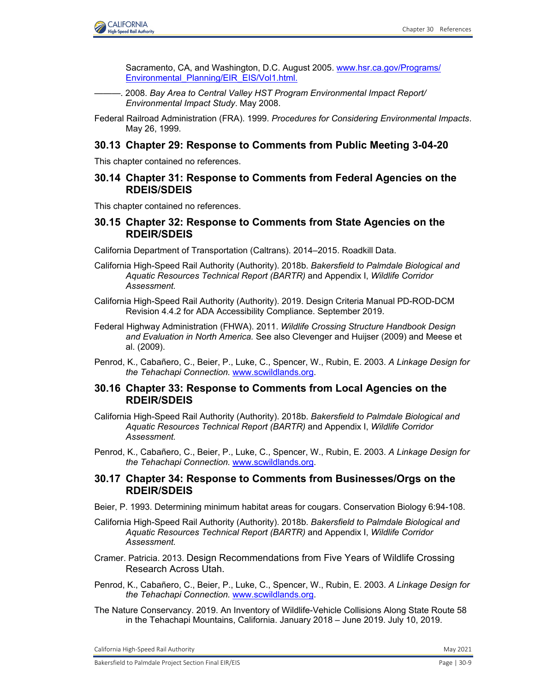

Sacramento, CA, and Washington, D.C. August 2005. [www.hsr.ca.gov/Programs/](http://www.hsr.ca.gov/Programs/Environmental_Planning/EIR_EIS/Vol1.html) [Environmental\\_Planning/EIR\\_EIS/Vol1.html.](http://www.hsr.ca.gov/Programs/Environmental_Planning/EIR_EIS/Vol1.html)

- ———. 2008. *Bay Area to Central Valley HST Program Environmental Impact Report/ Environmental Impact Study*. May 2008.
- Federal Railroad Administration (FRA). 1999. *Procedures for Considering Environmental Impacts*. May 26, 1999.

#### **30.13 Chapter 29: Response to Comments from Public Meeting 3-04-20**

This chapter contained no references.

### **30.14 Chapter 31: Response to Comments from Federal Agencies on the RDEIS/SDEIS**

This chapter contained no references.

## **30.15 Chapter 32: Response to Comments from State Agencies on the RDEIR/SDEIS**

California Department of Transportation (Caltrans). 2014–2015. Roadkill Data.

- California High-Speed Rail Authority (Authority). 2018b. *Bakersfield to Palmdale Biological and Aquatic Resources Technical Report (BARTR)* and Appendix I, *Wildlife Corridor Assessment.*
- California High-Speed Rail Authority (Authority). 2019. Design Criteria Manual PD-ROD-DCM Revision 4.4.2 for ADA Accessibility Compliance. September 2019.
- Federal Highway Administration (FHWA). 2011. *Wildlife Crossing Structure Handbook Design and Evaluation in North America.* See also Clevenger and Huijser (2009) and Meese et al. (2009).
- Penrod, K., Cabañero, C., Beier, P., Luke, C., Spencer, W., Rubin, E. 2003. *A Linkage Design for the Tehachapi Connection.* [www.scwildlands.org](http://www.scwildlands.org).

### **30.16 Chapter 33: Response to Comments from Local Agencies on the RDEIR/SDEIS**

- California High-Speed Rail Authority (Authority). 2018b. *Bakersfield to Palmdale Biological and Aquatic Resources Technical Report (BARTR)* and Appendix I, *Wildlife Corridor Assessment.*
- Penrod, K., Cabañero, C., Beier, P., Luke, C., Spencer, W., Rubin, E. 2003. *A Linkage Design for the Tehachapi Connection.* [www.scwildlands.org.](http://www.scwildlands.org)

### **30.17 Chapter 34: Response to Comments from Businesses/Orgs on the RDEIR/SDEIS**

- Beier, P. 1993. Determining minimum habitat areas for cougars. Conservation Biology 6:94-108.
- California High-Speed Rail Authority (Authority). 2018b. *Bakersfield to Palmdale Biological and Aquatic Resources Technical Report (BARTR)* and Appendix I, *Wildlife Corridor Assessment.*
- Cramer. Patricia. 2013. Design Recommendations from Five Years of Wildlife Crossing Research Across Utah.
- Penrod, K., Cabañero, C., Beier, P., Luke, C., Spencer, W., Rubin, E. 2003. *A Linkage Design for the Tehachapi Connection.* [www.scwildlands.org.](http://www.scwildlands.org/)
- The Nature Conservancy. 2019. An Inventory of Wildlife-Vehicle Collisions Along State Route 58 in the Tehachapi Mountains, California. January 2018 – June 2019. July 10, 2019.

California High-Speed Rail Authority May 2021 **May 2021**